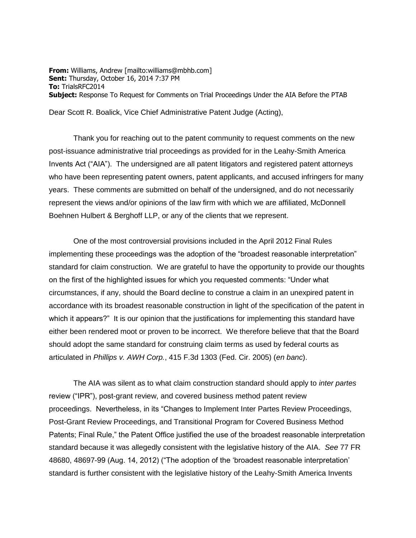**From:** Williams, Andrew [mailto:williams@mbhb.com] **Sent:** Thursday, October 16, 2014 7:37 PM **To:** TrialsRFC2014 **Subject:** Response To Request for Comments on Trial Proceedings Under the AIA Before the PTAB

Dear Scott R. Boalick, Vice Chief Administrative Patent Judge (Acting),

Thank you for reaching out to the patent community to request comments on the new post-issuance administrative trial proceedings as provided for in the Leahy-Smith America Invents Act ("AIA"). The undersigned are all patent litigators and registered patent attorneys who have been representing patent owners, patent applicants, and accused infringers for many years. These comments are submitted on behalf of the undersigned, and do not necessarily represent the views and/or opinions of the law firm with which we are affiliated, McDonnell Boehnen Hulbert & Berghoff LLP, or any of the clients that we represent.

One of the most controversial provisions included in the April 2012 Final Rules implementing these proceedings was the adoption of the "broadest reasonable interpretation" standard for claim construction. We are grateful to have the opportunity to provide our thoughts on the first of the highlighted issues for which you requested comments: "Under what circumstances, if any, should the Board decline to construe a claim in an unexpired patent in accordance with its broadest reasonable construction in light of the specification of the patent in which it appears?" It is our opinion that the justifications for implementing this standard have either been rendered moot or proven to be incorrect. We therefore believe that that the Board should adopt the same standard for construing claim terms as used by federal courts as articulated in *Phillips v. AWH Corp.*, 415 F.3d 1303 (Fed. Cir. 2005) (*en banc*).

The AIA was silent as to what claim construction standard should apply to *inter partes* review ("IPR"), post-grant review, and covered business method patent review proceedings. Nevertheless, in its "Changes to Implement Inter Partes Review Proceedings, Post-Grant Review Proceedings, and Transitional Program for Covered Business Method Patents; Final Rule," the Patent Office justified the use of the broadest reasonable interpretation standard because it was allegedly consistent with the legislative history of the AIA. *See* 77 FR 48680, 48697-99 (Aug. 14, 2012) ("The adoption of the 'broadest reasonable interpretation' standard is further consistent with the legislative history of the Leahy-Smith America Invents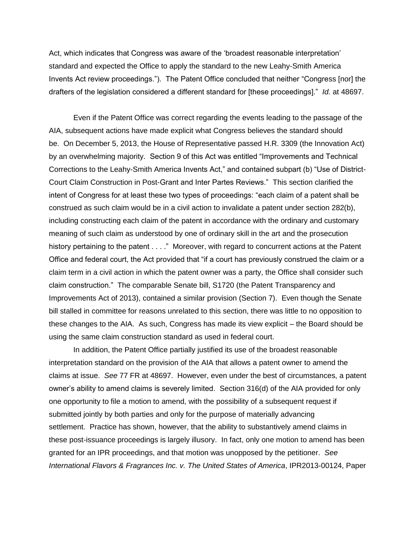Act, which indicates that Congress was aware of the 'broadest reasonable interpretation' standard and expected the Office to apply the standard to the new Leahy-Smith America Invents Act review proceedings."). The Patent Office concluded that neither "Congress [nor] the drafters of the legislation considered a different standard for [these proceedings]." *Id.* at 48697.

Even if the Patent Office was correct regarding the events leading to the passage of the AIA, subsequent actions have made explicit what Congress believes the standard should be. On December 5, 2013, the House of Representative passed H.R. 3309 (the Innovation Act) by an overwhelming majority. Section 9 of this Act was entitled "Improvements and Technical Corrections to the Leahy-Smith America Invents Act," and contained subpart (b) "Use of District-Court Claim Construction in Post-Grant and Inter Partes Reviews." This section clarified the intent of Congress for at least these two types of proceedings: "each claim of a patent shall be construed as such claim would be in a civil action to invalidate a patent under section 282(b), including constructing each claim of the patent in accordance with the ordinary and customary meaning of such claim as understood by one of ordinary skill in the art and the prosecution history pertaining to the patent . . . ." Moreover, with regard to concurrent actions at the Patent Office and federal court, the Act provided that "if a court has previously construed the claim or a claim term in a civil action in which the patent owner was a party, the Office shall consider such claim construction." The comparable Senate bill, S1720 (the Patent Transparency and Improvements Act of 2013), contained a similar provision (Section 7). Even though the Senate bill stalled in committee for reasons unrelated to this section, there was little to no opposition to these changes to the AIA. As such, Congress has made its view explicit – the Board should be using the same claim construction standard as used in federal court.

In addition, the Patent Office partially justified its use of the broadest reasonable interpretation standard on the provision of the AIA that allows a patent owner to amend the claims at issue. *See* 77 FR at 48697. However, even under the best of circumstances, a patent owner's ability to amend claims is severely limited. Section 316(d) of the AIA provided for only one opportunity to file a motion to amend, with the possibility of a subsequent request if submitted jointly by both parties and only for the purpose of materially advancing settlement. Practice has shown, however, that the ability to substantively amend claims in these post-issuance proceedings is largely illusory. In fact, only one motion to amend has been granted for an IPR proceedings, and that motion was unopposed by the petitioner. *See International Flavors & Fragrances Inc. v. The United States of America*, IPR2013-00124, Paper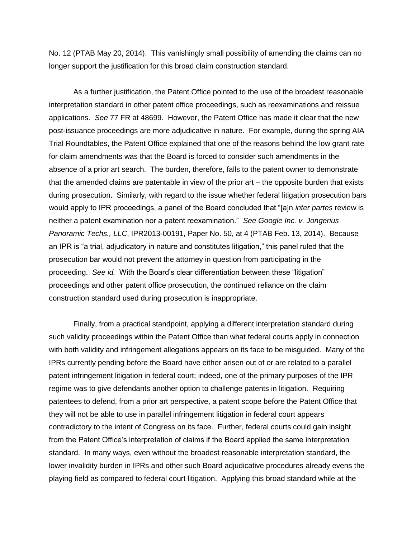No. 12 (PTAB May 20, 2014). This vanishingly small possibility of amending the claims can no longer support the justification for this broad claim construction standard.

As a further justification, the Patent Office pointed to the use of the broadest reasonable interpretation standard in other patent office proceedings, such as reexaminations and reissue applications. *See* 77 FR at 48699. However, the Patent Office has made it clear that the new post-issuance proceedings are more adjudicative in nature. For example, during the spring AIA Trial Roundtables, the Patent Office explained that one of the reasons behind the low grant rate for claim amendments was that the Board is forced to consider such amendments in the absence of a prior art search. The burden, therefore, falls to the patent owner to demonstrate that the amended claims are patentable in view of the prior art – the opposite burden that exists during prosecution. Similarly, with regard to the issue whether federal litigation prosecution bars would apply to IPR proceedings, a panel of the Board concluded that "[a]n *inter partes* review is neither a patent examination nor a patent reexamination." *See Google Inc. v. Jongerius Panoramic Techs., LLC*, IPR2013-00191, Paper No. 50, at 4 (PTAB Feb. 13, 2014). Because an IPR is "a trial, adjudicatory in nature and constitutes litigation," this panel ruled that the prosecution bar would not prevent the attorney in question from participating in the proceeding. *See id.* With the Board's clear differentiation between these "litigation" proceedings and other patent office prosecution, the continued reliance on the claim construction standard used during prosecution is inappropriate.

Finally, from a practical standpoint, applying a different interpretation standard during such validity proceedings within the Patent Office than what federal courts apply in connection with both validity and infringement allegations appears on its face to be misguided. Many of the IPRs currently pending before the Board have either arisen out of or are related to a parallel patent infringement litigation in federal court; indeed, one of the primary purposes of the IPR regime was to give defendants another option to challenge patents in litigation. Requiring patentees to defend, from a prior art perspective, a patent scope before the Patent Office that they will not be able to use in parallel infringement litigation in federal court appears contradictory to the intent of Congress on its face. Further, federal courts could gain insight from the Patent Office's interpretation of claims if the Board applied the same interpretation standard. In many ways, even without the broadest reasonable interpretation standard, the lower invalidity burden in IPRs and other such Board adjudicative procedures already evens the playing field as compared to federal court litigation. Applying this broad standard while at the